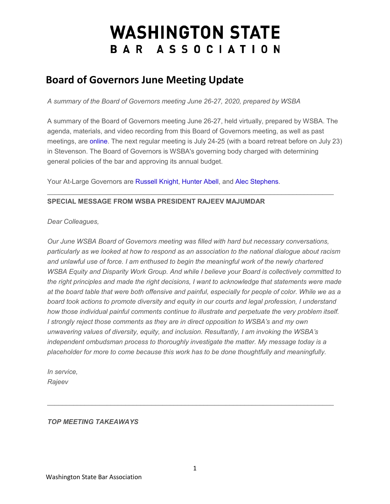# **WASHINGTON STATE** BAR ASSOCIATION

## **Board of Governors June Meeting Update**

*A summary of the Board of Governors meeting June 26-27, 2020, prepared by WSBA* 

A summary of the Board of Governors meeting June 26-27, held virtually, prepared by WSBA. The agenda, materials, and video recording from this Board of Governors meeting, as well as past meetings, are [online.](https://www.wsba.org/about-wsba/who-we-are/board-of-governors) The next regular meeting is July 24-25 (with a board retreat before on July 23) in Stevenson. The Board of Governors is WSBA's governing body charged with determining general policies of the bar and approving its annual budget.

 $\mathcal{L}_\mathcal{L} = \{ \mathcal{L}_\mathcal{L} = \{ \mathcal{L}_\mathcal{L} = \{ \mathcal{L}_\mathcal{L} = \{ \mathcal{L}_\mathcal{L} = \{ \mathcal{L}_\mathcal{L} = \{ \mathcal{L}_\mathcal{L} = \{ \mathcal{L}_\mathcal{L} = \{ \mathcal{L}_\mathcal{L} = \{ \mathcal{L}_\mathcal{L} = \{ \mathcal{L}_\mathcal{L} = \{ \mathcal{L}_\mathcal{L} = \{ \mathcal{L}_\mathcal{L} = \{ \mathcal{L}_\mathcal{L} = \{ \mathcal{L}_\mathcal{$ 

Your At-Large Governors are [Russell Knight,](https://www.mywsba.org/PersonifyEbusiness/Default.aspx?TabID=1538&Usr_ID=000000040614) [Hunter Abell,](https://www.mywsba.org/PersonifyEbusiness/Default.aspx?TabID=1538&Usr_ID=000000037223) and [Alec Stephens.](https://www.mywsba.org/PersonifyEbusiness/LegalDirectory/LegalProfile.aspx?Usr_ID=000000011439)

### **SPECIAL MESSAGE FROM WSBA PRESIDENT RAJEEV MAJUMDAR**

*Dear Colleagues,*

*Our June WSBA Board of Governors meeting was filled with hard but necessary conversations, particularly as we looked at how to respond as an association to the national dialogue about racism and unlawful use of force. I am enthused to begin the meaningful work of the newly chartered WSBA Equity and Disparity Work Group. And while I believe your Board is collectively committed to the right principles and made the right decisions, I want to acknowledge that statements were made at the board table that were both offensive and painful, especially for people of color. While we as a board took actions to promote diversity and equity in our courts and legal profession, I understand how those individual painful comments continue to illustrate and perpetuate the very problem itself. I strongly reject those comments as they are in direct opposition to WSBA's and my own unwavering values of diversity, equity, and inclusion. Resultantly, I am invoking the WSBA's independent ombudsman process to thoroughly investigate the matter. My message today is a placeholder for more to come because this work has to be done thoughtfully and meaningfully.*

*In service, Rajeev*

### *TOP MEETING TAKEAWAYS*

 $\mathcal{L}_\mathcal{L} = \{ \mathcal{L}_\mathcal{L} = \{ \mathcal{L}_\mathcal{L} = \{ \mathcal{L}_\mathcal{L} = \{ \mathcal{L}_\mathcal{L} = \{ \mathcal{L}_\mathcal{L} = \{ \mathcal{L}_\mathcal{L} = \{ \mathcal{L}_\mathcal{L} = \{ \mathcal{L}_\mathcal{L} = \{ \mathcal{L}_\mathcal{L} = \{ \mathcal{L}_\mathcal{L} = \{ \mathcal{L}_\mathcal{L} = \{ \mathcal{L}_\mathcal{L} = \{ \mathcal{L}_\mathcal{L} = \{ \mathcal{L}_\mathcal{$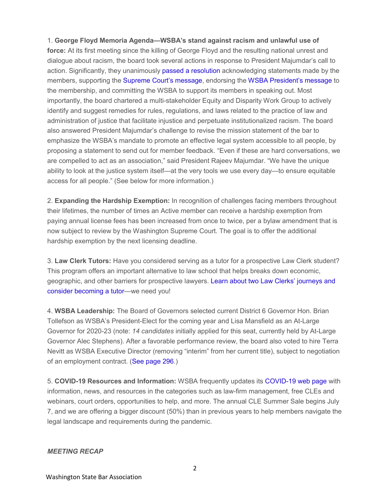1. **George Floyd Memoria Agenda—WSBA's stand against racism and unlawful use of force:** At its first meeting since the killing of George Floyd and the resulting national unrest and dialogue about racism, the board took several actions in response to President Majumdar's call to action. Significantly, they unanimously [passed a resolution](https://www.wsba.org/docs/default-source/about-wsba/governance/board-resolution-national-dialogue.pdf?Status=Temp&sfvrsn=202709f1_2) acknowledging statements made by the members, supporting the [Supreme Court's message,](https://www.wsba.org/docs/default-source/about-wsba/governance/judiciary-legal-community-signed-6-4-20-(002).pdf) endorsing the [WSBA President's message](https://www.wsba.org/docs/default-source/about-wsba/governance/civil-unrest.pdf?sfvrsn=1b7809f1_6) to the membership, and committing the WSBA to support its members in speaking out. Most importantly, the board chartered a multi-stakeholder Equity and Disparity Work Group to actively identify and suggest remedies for rules, regulations, and laws related to the practice of law and administration of justice that facilitate injustice and perpetuate institutionalized racism. The board also answered President Majumdar's challenge to revise the mission statement of the bar to emphasize the WSBA's mandate to promote an effective legal system accessible to all people, by proposing a statement to send out for member feedback. "Even if these are hard conversations, we are compelled to act as an association," said President Rajeev Majumdar. "We have the unique ability to look at the justice system itself—at the very tools we use every day—to ensure equitable access for all people." (See below for more information.)

2. **Expanding the Hardship Exemption:** In recognition of challenges facing members throughout their lifetimes, the number of times an Active member can receive a hardship exemption from paying annual license fees has been increased from once to twice, per a bylaw amendment that is now subject to review by the Washington Supreme Court. The goal is to offer the additional hardship exemption by the next licensing deadline.

3. **Law Clerk Tutors:** Have you considered serving as a tutor for a prospective Law Clerk student? This program offers an important alternative to law school that helps breaks down economic, geographic, and other barriers for prospective lawyers. [Learn about two Law Clerks' journeys and](https://www.wsba.org/for-legal-professionals/join-the-legal-profession-in-wa/law-clerk)  [consider becoming a tutor—](https://www.wsba.org/for-legal-professionals/join-the-legal-profession-in-wa/law-clerk)we need you!

4. **WSBA Leadership:** The Board of Governors selected current District 6 Governor Hon. Brian Tollefson as WSBA's President-Elect for the coming year and Lisa Mansfield as an At-Large Governor for 2020-23 (note: *14 candidates* initially applied for this seat, currently held by At-Large Governor Alec Stephens). After a favorable performance review, the board also voted to hire Terra Nevitt as WSBA Executive Director (removing "interim" from her current title), subject to negotiation of an employment contract. [\(See page 296.](https://www.wsba.org/docs/default-source/about-wsba/governance/bog-meeting-materials-2019-2020/board-of-governors-meeting-materials-june-2020.pdf?sfvrsn=e60309f1_4))

5. **COVID-19 Resources and Information:** WSBA frequently updates its [COVID-19 web page](https://www.wsba.org/for-legal-professionals/member-support/covid-19) with information, news, and resources in the categories such as law-firm management, free CLEs and webinars, court orders, opportunities to help, and more. The annual CLE Summer Sale begins July 7, and we are offering a bigger discount (50%) than in previous years to help members navigate the legal landscape and requirements during the pandemic.

#### *MEETING RECAP*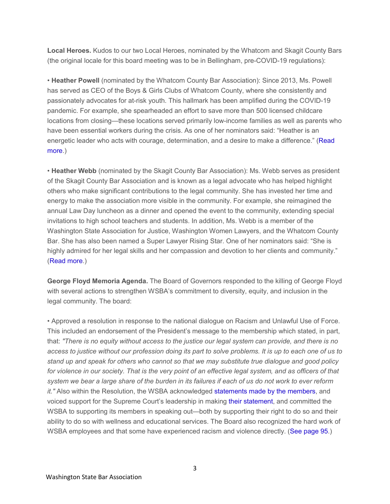**Local Heroes.** Kudos to our two Local Heroes, nominated by the Whatcom and Skagit County Bars (the original locale for this board meeting was to be in Bellingham, pre-COVID-19 regulations):

• **Heather Powell** (nominated by the Whatcom County Bar Association): Since 2013, Ms. Powell has served as CEO of the Boys & Girls Clubs of Whatcom County, where she consistently and passionately advocates for at-risk youth. This hallmark has been amplified during the COVID-19 pandemic. For example, she spearheaded an effort to save more than 500 licensed childcare locations from closing—these locations served primarily low-income families as well as parents who have been essential workers during the crisis. As one of her nominators said: "Heather is an energetic leader who acts with courage, determination, and a desire to make a difference." [\(Read](https://www.wsba.org/news-events/media-center/media-releases/heather-powell-receives-washington-state-bar-association-local-hero-award)  [more.](https://www.wsba.org/news-events/media-center/media-releases/heather-powell-receives-washington-state-bar-association-local-hero-award))

• **Heather Webb** (nominated by the Skagit County Bar Association): Ms. Webb serves as president of the Skagit County Bar Association and is known as a legal advocate who has helped highlight others who make significant contributions to the legal community. She has invested her time and energy to make the association more visible in the community. For example, she reimagined the annual Law Day luncheon as a dinner and opened the event to the community, extending special invitations to high school teachers and students. In addition, Ms. Webb is a member of the Washington State Association for Justice, Washington Women Lawyers, and the Whatcom County Bar. She has also been named a Super Lawyer Rising Star. One of her nominators said: "She is highly admired for her legal skills and her compassion and devotion to her clients and community." [\(Read more.](https://www.wsba.org/news-events/media-center/media-releases/heather-webb-receives-washington-state-bar-association-local-hero-award))

**George Floyd Memoria Agenda.** The Board of Governors responded to the killing of George Floyd with several actions to strengthen WSBA's commitment to diversity, equity, and inclusion in the legal community. The board:

• Approved a resolution in response to the national dialogue on Racism and Unlawful Use of Force. This included an endorsement of the President's message to the membership which stated, in part, that: *"There is no equity without access to the justice our legal system can provide, and there is no access to justice without our profession doing its part to solve problems. It is up to each one of us to stand up and speak for others who cannot so that we may substitute true dialogue and good policy for violence in our society. That is the very point of an effective legal system, and as officers of that system we bear a large share of the burden in its failures if each of us do not work to ever reform it."* Also within the Resolution, the WSBA acknowledged [statements made by the members,](https://www.wsba.org/docs/default-source/about-wsba/governance/board-resolution-national-dialogue.pdf?Status=Temp&sfvrsn=202709f1_2) and voiced support for the Supreme Court's leadership in making [their statement,](https://www.wsba.org/docs/default-source/about-wsba/governance/judiciary-legal-community-signed-6-4-20-(002).pdf) and committed the WSBA to supporting its members in speaking out—both by supporting their right to do so and their ability to do so with wellness and educational services. The Board also recognized the hard work of WSBA employees and that some have experienced racism and violence directly. [\(See page 95.](https://www.wsba.org/docs/default-source/about-wsba/governance/bog-meeting-materials-2019-2020/board-of-governors-meeting-materials-june-2020.pdf?sfvrsn=e60309f1_4))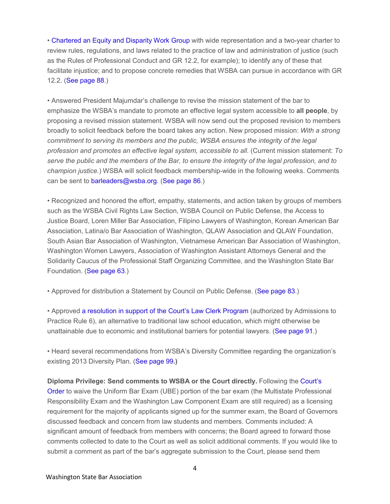• [Chartered an Equity and Disparity Work Group](https://www.wsba.org/docs/default-source/about-wsba/governance/memo_equity-and-injustice-workgroup_final_v2.pdf) with wide representation and a two-year charter to review rules, regulations, and laws related to the practice of law and administration of justice (such as the Rules of Professional Conduct and GR 12.2, for example); to identify any of these that facilitate injustice; and to propose concrete remedies that WSBA can pursue in accordance with GR 12.2. [\(See page 88.](https://www.wsba.org/docs/default-source/about-wsba/governance/bog-meeting-materials-2019-2020/board-of-governors-meeting-materials-june-2020.pdf?sfvrsn=e60309f1_4))

• Answered President Majumdar's challenge to revise the mission statement of the bar to emphasize the WSBA's mandate to promote an effective legal system accessible to **all people**, by proposing a revised mission statement. WSBA will now send out the proposed revision to members broadly to solicit feedback before the board takes any action. New proposed mission: *With a strong commitment to serving its members and the public, WSBA ensures the integrity of the legal profession and promotes an effective legal system, accessible to all.* (Current mission statement: *To serve the public and the members of the Bar, to ensure the integrity of the legal profession, and to champion justice.*) WSBA will solicit feedback membership-wide in the following weeks. Comments can be sent to [barleaders@wsba.org.](mailto:barleaders@wsba.org) [\(See page 86.](https://www.wsba.org/docs/default-source/about-wsba/governance/bog-meeting-materials-2019-2020/board-of-governors-meeting-materials-june-2020.pdf?sfvrsn=e60309f1_4))

• Recognized and honored the effort, empathy, statements, and action taken by groups of members such as the WSBA Civil Rights Law Section, WSBA Council on Public Defense, the Access to Justice Board, Loren Miller Bar Association, Filipino Lawyers of Washington, Korean American Bar Association, Latina/o Bar Association of Washington, QLAW Association and QLAW Foundation, South Asian Bar Association of Washington, Vietnamese American Bar Association of Washington, Washington Women Lawyers, Association of Washington Assistant Attorneys General and the Solidarity Caucus of the Professional Staff Organizing Committee, and the Washington State Bar Foundation. [\(See page 63.](https://www.wsba.org/docs/default-source/about-wsba/governance/bog-meeting-materials-2019-2020/board-of-governors-meeting-materials-june-2020.pdf?sfvrsn=e60309f1_4))

• Approved for distribution a Statement by Council on Public Defense. [\(See page 83.](https://www.wsba.org/docs/default-source/about-wsba/governance/bog-meeting-materials-2019-2020/board-of-governors-meeting-materials-june-2020.pdf?sfvrsn=e60309f1_4))

• Approved [a resolution in support of the Court's Law Clerk Program](https://www.wsba.org/docs/default-source/about-wsba/governance/wsba-resolution_apr-6-program_6-28-20.pd) (authorized by Admissions to Practice Rule 6), an alternative to traditional law school education, which might otherwise be unattainable due to economic and institutional barriers for potential lawyers. [\(See page 91.](https://www.wsba.org/docs/default-source/about-wsba/governance/bog-meeting-materials-2019-2020/board-of-governors-meeting-materials-june-2020.pdf?sfvrsn=e60309f1_4))

• Heard several recommendations from WSBA's Diversity Committee regarding the organization's existing 2013 Diversity Plan. [\(See page 99](https://www.wsba.org/docs/default-source/about-wsba/governance/bog-meeting-materials-2019-2020/board-of-governors-meeting-materials-june-2020.pdf?sfvrsn=e60309f1_4)**.)**

**Diploma Privilege: Send comments to WSBA or the Court directly.** Following the [Court's](http://www.courts.wa.gov/content/publicUpload/Supreme%20Court%20Orders/Order%20Granting%20Diploma%20Privilege%20061220.pdf)  [Order](http://www.courts.wa.gov/content/publicUpload/Supreme%20Court%20Orders/Order%20Granting%20Diploma%20Privilege%20061220.pdf) to waive the Uniform Bar Exam (UBE) portion of the bar exam (the Multistate Professional Responsibility Exam and the Washington Law Component Exam are still required) as a licensing requirement for the majority of applicants signed up for the summer exam, the Board of Governors discussed feedback and concern from law students and members. Comments included: A significant amount of feedback from members with concerns; the Board agreed to forward those comments collected to date to the Court as well as solicit additional comments. If you would like to submit a comment as part of the bar's aggregate submission to the Court, please send them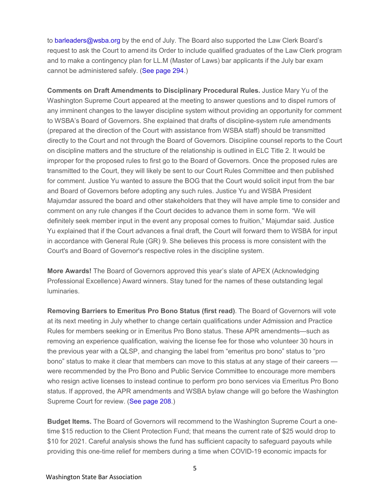to [barleaders@wsba.org](mailto:barleaders@wsba.org) by the end of July. The Board also supported the Law Clerk Board's request to ask the Court to amend its Order to include qualified graduates of the Law Clerk program and to make a contingency plan for LL.M (Master of Laws) bar applicants if the July bar exam cannot be administered safely. [\(See page 294.](https://www.wsba.org/docs/default-source/about-wsba/governance/bog-meeting-materials-2019-2020/board-of-governors-meeting-materials-june-2020.pdf?sfvrsn=e60309f1_4))

**Comments on Draft Amendments to Disciplinary Procedural Rules.** Justice Mary Yu of the Washington Supreme Court appeared at the meeting to answer questions and to dispel rumors of any imminent changes to the lawyer discipline system without providing an opportunity for comment to WSBA's Board of Governors. She explained that drafts of discipline-system rule amendments (prepared at the direction of the Court with assistance from WSBA staff) should be transmitted directly to the Court and not through the Board of Governors. Discipline counsel reports to the Court on discipline matters and the structure of the relationship is outlined in ELC Title 2. It would be improper for the proposed rules to first go to the Board of Governors. Once the proposed rules are transmitted to the Court, they will likely be sent to our Court Rules Committee and then published for comment. Justice Yu wanted to assure the BOG that the Court would solicit input from the bar and Board of Governors before adopting any such rules. Justice Yu and WSBA President Majumdar assured the board and other stakeholders that they will have ample time to consider and comment on any rule changes if the Court decides to advance them in some form. "We will definitely seek member input in the event any proposal comes to fruition," Majumdar said. Justice Yu explained that if the Court advances a final draft, the Court will forward them to WSBA for input in accordance with General Rule (GR) 9. She believes this process is more consistent with the Court's and Board of Governor's respective roles in the discipline system.

**More Awards!** The Board of Governors approved this year's slate of APEX (Acknowledging Professional Excellence) Award winners. Stay tuned for the names of these outstanding legal luminaries.

**Removing Barriers to Emeritus Pro Bono Status (first read)**. The Board of Governors will vote at its next meeting in July whether to change certain qualifications under Admission and Practice Rules for members seeking or in Emeritus Pro Bono status. These APR amendments—such as removing an experience qualification, waiving the license fee for those who volunteer 30 hours in the previous year with a QLSP, and changing the label from "emeritus pro bono" status to "pro bono" status to make it clear that members can move to this status at any stage of their careers were recommended by the Pro Bono and Public Service Committee to encourage more members who resign active licenses to instead continue to perform pro bono services via Emeritus Pro Bono status. If approved, the APR amendments and WSBA bylaw change will go before the Washington Supreme Court for review. [\(See page 208.](https://www.wsba.org/docs/default-source/about-wsba/governance/bog-meeting-materials-2019-2020/board-of-governors-meeting-materials-june-2020.pdf?sfvrsn=e60309f1_4))

**Budget Items.** The Board of Governors will recommend to the Washington Supreme Court a onetime \$15 reduction to the Client Protection Fund; that means the current rate of \$25 would drop to \$10 for 2021. Careful analysis shows the fund has sufficient capacity to safeguard payouts while providing this one-time relief for members during a time when COVID-19 economic impacts for

5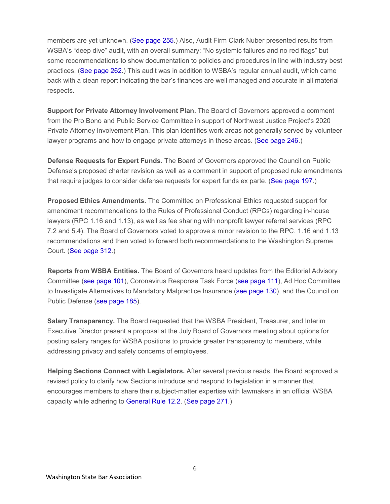members are yet unknown. [\(See page 255.](https://www.wsba.org/docs/default-source/about-wsba/governance/bog-meeting-materials-2019-2020/board-of-governors-meeting-materials-june-2020.pdf?sfvrsn=e60309f1_4)) Also, Audit Firm Clark Nuber presented results from WSBA's "deep dive" audit, with an overall summary: "No systemic failures and no red flags" but some recommendations to show documentation to policies and procedures in line with industry best practices. [\(See page 262.](https://www.wsba.org/docs/default-source/about-wsba/governance/bog-meeting-materials-2019-2020/board-of-governors-meeting-materials-june-2020.pdf?sfvrsn=e60309f1_4)) This audit was in addition to WSBA's regular annual audit, which came back with a clean report indicating the bar's finances are well managed and accurate in all material respects.

**Support for Private Attorney Involvement Plan.** The Board of Governors approved a comment from the Pro Bono and Public Service Committee in support of Northwest Justice Project's 2020 Private Attorney Involvement Plan. This plan identifies work areas not generally served by volunteer lawyer programs and how to engage private attorneys in these areas. [\(See page 246.](https://www.wsba.org/docs/default-source/about-wsba/governance/bog-meeting-materials-2019-2020/board-of-governors-meeting-materials-june-2020.pdf?sfvrsn=e60309f1_4))

**Defense Requests for Expert Funds.** The Board of Governors approved the Council on Public Defense's proposed charter revision as well as a comment in support of proposed rule amendments that require judges to consider defense requests for expert funds ex parte. [\(See page 197.](https://www.wsba.org/docs/default-source/about-wsba/governance/bog-meeting-materials-2019-2020/board-of-governors-meeting-materials-june-2020.pdf?sfvrsn=e60309f1_4))

**Proposed Ethics Amendments.** The Committee on Professional Ethics requested support for amendment recommendations to the Rules of Professional Conduct (RPCs) regarding in-house lawyers (RPC 1.16 and 1.13), as well as fee sharing with nonprofit lawyer referral services (RPC 7.2 and 5.4). The Board of Governors voted to approve a minor revision to the RPC. 1.16 and 1.13 recommendations and then voted to forward both recommendations to the Washington Supreme Court. [\(See page 312.](https://www.wsba.org/docs/default-source/about-wsba/governance/bog-meeting-materials-2019-2020/board-of-governors-meeting-materials-june-2020.pdf?sfvrsn=e60309f1_4))

**Reports from WSBA Entities.** The Board of Governors heard updates from the Editorial Advisory Committee [\(see page](https://www.wsba.org/docs/default-source/about-wsba/governance/bog-meeting-materials-2019-2020/board-of-governors-meeting-materials-june-2020.pdf?sfvrsn=e60309f1_4) 101), Coronavirus Response Task Force [\(see page 111\)](https://www.wsba.org/docs/default-source/about-wsba/governance/bog-meeting-materials-2019-2020/board-of-governors-meeting-materials-june-2020.pdf?sfvrsn=e60309f1_4), Ad Hoc Committee to Investigate Alternatives to Mandatory Malpractice Insurance [\(see page 130\)](https://www.wsba.org/docs/default-source/about-wsba/governance/bog-meeting-materials-2019-2020/board-of-governors-meeting-materials-june-2020.pdf?sfvrsn=e60309f1_4), and the Council on Public Defense [\(see page 185\)](https://www.wsba.org/docs/default-source/about-wsba/governance/bog-meeting-materials-2019-2020/board-of-governors-meeting-materials-june-2020.pdf?sfvrsn=e60309f1_4).

**Salary Transparency.** The Board requested that the WSBA President, Treasurer, and Interim Executive Director present a proposal at the July Board of Governors meeting about options for posting salary ranges for WSBA positions to provide greater transparency to members, while addressing privacy and safety concerns of employees.

**Helping Sections Connect with Legislators.** After several previous reads, the Board approved a revised policy to clarify how Sections introduce and respond to legislation in a manner that encourages members to share their subject-matter expertise with lawmakers in an official WSBA capacity while adhering to [General Rule 12.2.](https://www.courts.wa.gov/court_rules/pdf/GR/GA_GR_12_02_00.pdf) [\(See page 271.](https://www.wsba.org/docs/default-source/about-wsba/governance/bog-meeting-materials-2019-2020/board-of-governors-meeting-materials-june-2020.pdf?sfvrsn=e60309f1_4))